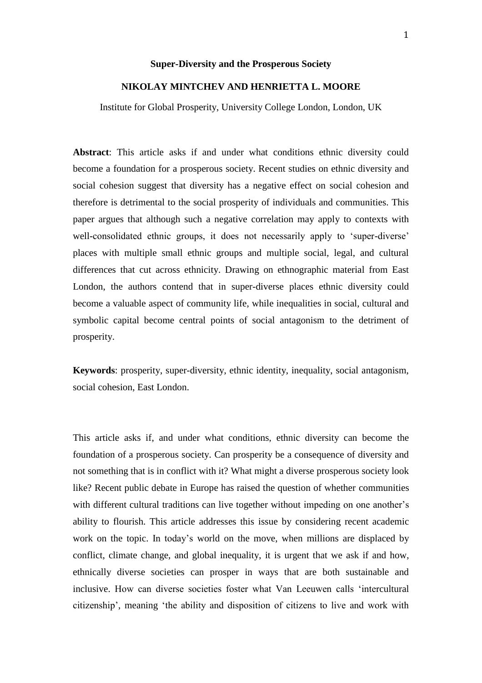### **Super-Diversity and the Prosperous Society**

## **NIKOLAY MINTCHEV AND HENRIETTA L. MOORE**

Institute for Global Prosperity, University College London, London, UK

**Abstract**: This article asks if and under what conditions ethnic diversity could become a foundation for a prosperous society. Recent studies on ethnic diversity and social cohesion suggest that diversity has a negative effect on social cohesion and therefore is detrimental to the social prosperity of individuals and communities. This paper argues that although such a negative correlation may apply to contexts with well-consolidated ethnic groups, it does not necessarily apply to 'super-diverse' places with multiple small ethnic groups and multiple social, legal, and cultural differences that cut across ethnicity. Drawing on ethnographic material from East London, the authors contend that in super-diverse places ethnic diversity could become a valuable aspect of community life, while inequalities in social, cultural and symbolic capital become central points of social antagonism to the detriment of prosperity.

**Keywords**: prosperity, super-diversity, ethnic identity, inequality, social antagonism, social cohesion, East London.

This article asks if, and under what conditions, ethnic diversity can become the foundation of a prosperous society. Can prosperity be a consequence of diversity and not something that is in conflict with it? What might a diverse prosperous society look like? Recent public debate in Europe has raised the question of whether communities with different cultural traditions can live together without impeding on one another's ability to flourish. This article addresses this issue by considering recent academic work on the topic. In today's world on the move, when millions are displaced by conflict, climate change, and global inequality, it is urgent that we ask if and how, ethnically diverse societies can prosper in ways that are both sustainable and inclusive. How can diverse societies foster what Van Leeuwen calls 'intercultural citizenship', meaning 'the ability and disposition of citizens to live and work with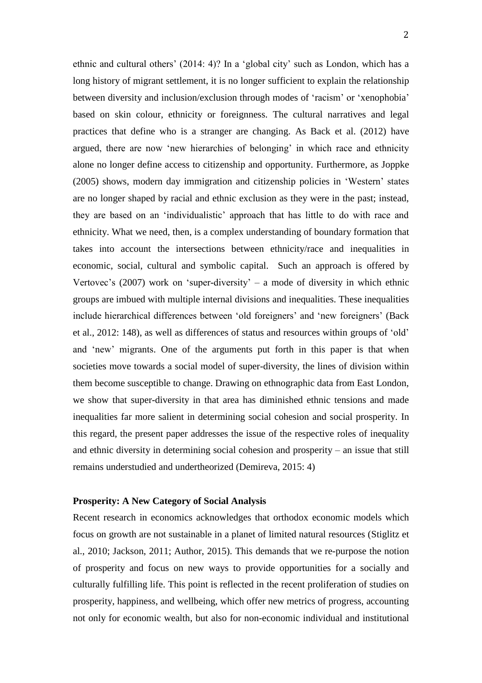ethnic and cultural others' (2014: 4)? In a 'global city' such as London, which has a long history of migrant settlement, it is no longer sufficient to explain the relationship between diversity and inclusion/exclusion through modes of 'racism' or 'xenophobia' based on skin colour, ethnicity or foreignness. The cultural narratives and legal practices that define who is a stranger are changing. As Back et al. (2012) have argued, there are now 'new hierarchies of belonging' in which race and ethnicity alone no longer define access to citizenship and opportunity. Furthermore, as Joppke (2005) shows, modern day immigration and citizenship policies in 'Western' states are no longer shaped by racial and ethnic exclusion as they were in the past; instead, they are based on an 'individualistic' approach that has little to do with race and ethnicity. What we need, then, is a complex understanding of boundary formation that takes into account the intersections between ethnicity/race and inequalities in economic, social, cultural and symbolic capital. Such an approach is offered by Vertovec's (2007) work on 'super-diversity' – a mode of diversity in which ethnic groups are imbued with multiple internal divisions and inequalities. These inequalities include hierarchical differences between 'old foreigners' and 'new foreigners' (Back et al., 2012: 148), as well as differences of status and resources within groups of 'old' and 'new' migrants. One of the arguments put forth in this paper is that when societies move towards a social model of super-diversity, the lines of division within them become susceptible to change. Drawing on ethnographic data from East London, we show that super-diversity in that area has diminished ethnic tensions and made inequalities far more salient in determining social cohesion and social prosperity. In this regard, the present paper addresses the issue of the respective roles of inequality and ethnic diversity in determining social cohesion and prosperity – an issue that still remains understudied and undertheorized (Demireva, 2015: 4)

# **Prosperity: A New Category of Social Analysis**

Recent research in economics acknowledges that orthodox economic models which focus on growth are not sustainable in a planet of limited natural resources (Stiglitz et al., 2010; Jackson, 2011; Author, 2015). This demands that we re-purpose the notion of prosperity and focus on new ways to provide opportunities for a socially and culturally fulfilling life. This point is reflected in the recent proliferation of studies on prosperity, happiness, and wellbeing, which offer new metrics of progress, accounting not only for economic wealth, but also for non-economic individual and institutional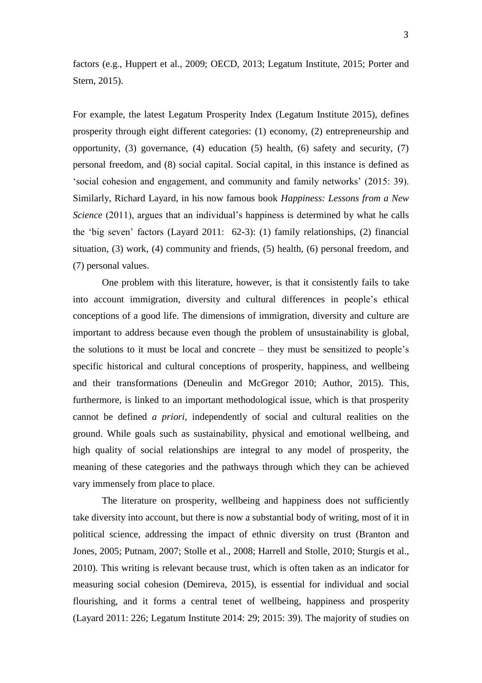factors (e.g., Huppert et al., 2009; OECD, 2013; Legatum Institute, 2015; Porter and Stern, 2015).

For example, the latest Legatum Prosperity Index (Legatum Institute 2015), defines prosperity through eight different categories: (1) economy, (2) entrepreneurship and opportunity, (3) governance, (4) education (5) health, (6) safety and security, (7) personal freedom, and (8) social capital. Social capital, in this instance is defined as 'social cohesion and engagement, and community and family networks' (2015: 39). Similarly, Richard Layard, in his now famous book *Happiness: Lessons from a New Science* (2011), argues that an individual's happiness is determined by what he calls the 'big seven' factors (Layard 2011: 62-3): (1) family relationships, (2) financial situation, (3) work, (4) community and friends, (5) health, (6) personal freedom, and (7) personal values.

One problem with this literature, however, is that it consistently fails to take into account immigration, diversity and cultural differences in people's ethical conceptions of a good life. The dimensions of immigration, diversity and culture are important to address because even though the problem of unsustainability is global, the solutions to it must be local and concrete – they must be sensitized to people's specific historical and cultural conceptions of prosperity, happiness, and wellbeing and their transformations (Deneulin and McGregor 2010; Author, 2015). This, furthermore, is linked to an important methodological issue, which is that prosperity cannot be defined *a priori*, independently of social and cultural realities on the ground. While goals such as sustainability, physical and emotional wellbeing, and high quality of social relationships are integral to any model of prosperity, the meaning of these categories and the pathways through which they can be achieved vary immensely from place to place.

The literature on prosperity, wellbeing and happiness does not sufficiently take diversity into account, but there is now a substantial body of writing, most of it in political science, addressing the impact of ethnic diversity on trust (Branton and Jones, 2005; Putnam, 2007; Stolle et al., 2008; Harrell and Stolle, 2010; Sturgis et al., 2010). This writing is relevant because trust, which is often taken as an indicator for measuring social cohesion (Demireva, 2015), is essential for individual and social flourishing, and it forms a central tenet of wellbeing, happiness and prosperity (Layard 2011: 226; Legatum Institute 2014: 29; 2015: 39). The majority of studies on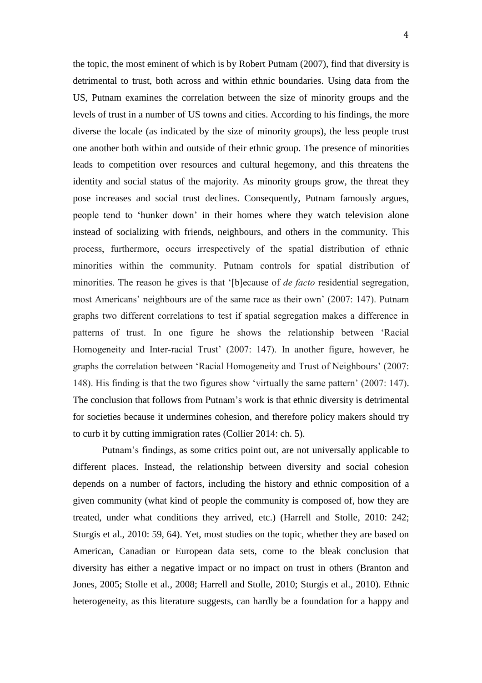the topic, the most eminent of which is by Robert Putnam (2007), find that diversity is detrimental to trust, both across and within ethnic boundaries. Using data from the US, Putnam examines the correlation between the size of minority groups and the levels of trust in a number of US towns and cities. According to his findings, the more diverse the locale (as indicated by the size of minority groups), the less people trust one another both within and outside of their ethnic group. The presence of minorities leads to competition over resources and cultural hegemony, and this threatens the identity and social status of the majority. As minority groups grow, the threat they pose increases and social trust declines. Consequently, Putnam famously argues, people tend to 'hunker down' in their homes where they watch television alone instead of socializing with friends, neighbours, and others in the community. This process, furthermore, occurs irrespectively of the spatial distribution of ethnic minorities within the community. Putnam controls for spatial distribution of minorities. The reason he gives is that '[b]ecause of *de facto* residential segregation, most Americans' neighbours are of the same race as their own' (2007: 147). Putnam graphs two different correlations to test if spatial segregation makes a difference in patterns of trust. In one figure he shows the relationship between 'Racial Homogeneity and Inter-racial Trust' (2007: 147). In another figure, however, he graphs the correlation between 'Racial Homogeneity and Trust of Neighbours' (2007: 148). His finding is that the two figures show 'virtually the same pattern' (2007: 147). The conclusion that follows from Putnam's work is that ethnic diversity is detrimental for societies because it undermines cohesion, and therefore policy makers should try to curb it by cutting immigration rates (Collier 2014: ch. 5).

Putnam's findings, as some critics point out, are not universally applicable to different places. Instead, the relationship between diversity and social cohesion depends on a number of factors, including the history and ethnic composition of a given community (what kind of people the community is composed of, how they are treated, under what conditions they arrived, etc.) (Harrell and Stolle, 2010: 242; Sturgis et al., 2010: 59, 64). Yet, most studies on the topic, whether they are based on American, Canadian or European data sets, come to the bleak conclusion that diversity has either a negative impact or no impact on trust in others (Branton and Jones, 2005; Stolle et al., 2008; Harrell and Stolle, 2010; Sturgis et al., 2010). Ethnic heterogeneity, as this literature suggests, can hardly be a foundation for a happy and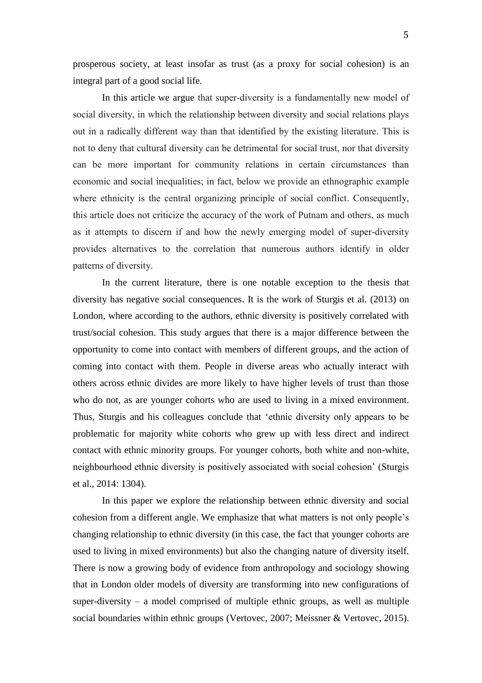prosperous society, at least insofar as trust (as a proxy for social cohesion) is an integral part of a good social life.

In this article we argue that super-diversity is a fundamentally new model of social diversity, in which the relationship between diversity and social relations plays out in a radically different way than that identified by the existing literature. This is not to deny that cultural diversity can be detrimental for social trust, nor that diversity can be more important for community relations in certain circumstances than economic and social inequalities; in fact, below we provide an ethnographic example where ethnicity is the central organizing principle of social conflict. Consequently, this article does not criticize the accuracy of the work of Putnam and others, as much as it attempts to discern if and how the newly emerging model of super-diversity provides alternatives to the correlation that numerous authors identify in older patterns of diversity.

In the current literature, there is one notable exception to the thesis that diversity has negative social consequences. It is the work of Sturgis et al. (2013) on London, where according to the authors, ethnic diversity is positively correlated with trust/social cohesion. This study argues that there is a major difference between the opportunity to come into contact with members of different groups, and the action of coming into contact with them. People in diverse areas who actually interact with others across ethnic divides are more likely to have higher levels of trust than those who do not, as are younger cohorts who are used to living in a mixed environment. Thus, Sturgis and his colleagues conclude that 'ethnic diversity only appears to be problematic for majority white cohorts who grew up with less direct and indirect contact with ethnic minority groups. For younger cohorts, both white and non-white, neighbourhood ethnic diversity is positively associated with social cohesion' (Sturgis et al., 2014: 1304).

In this paper we explore the relationship between ethnic diversity and social cohesion from a different angle. We emphasize that what matters is not only people's changing relationship to ethnic diversity (in this case, the fact that younger cohorts are used to living in mixed environments) but also the changing nature of diversity itself. There is now a growing body of evidence from anthropology and sociology showing that in London older models of diversity are transforming into new configurations of super-diversity – a model comprised of multiple ethnic groups, as well as multiple social boundaries within ethnic groups (Vertovec, 2007; Meissner & Vertovec, 2015).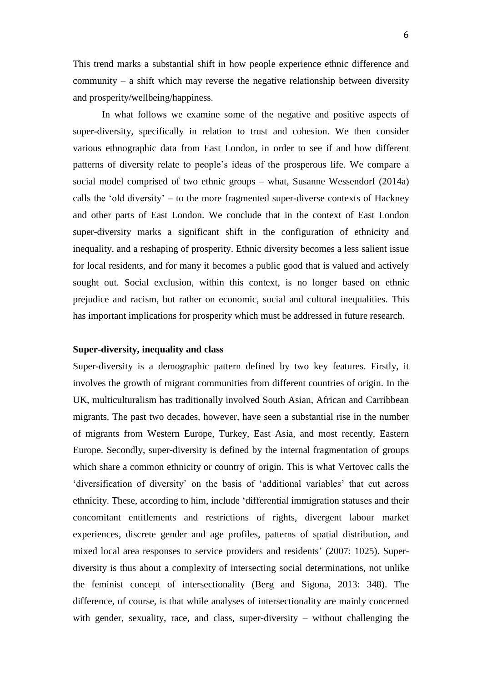This trend marks a substantial shift in how people experience ethnic difference and community – a shift which may reverse the negative relationship between diversity and prosperity/wellbeing/happiness.

In what follows we examine some of the negative and positive aspects of super-diversity, specifically in relation to trust and cohesion. We then consider various ethnographic data from East London, in order to see if and how different patterns of diversity relate to people's ideas of the prosperous life. We compare a social model comprised of two ethnic groups – what, Susanne Wessendorf (2014a) calls the 'old diversity' – to the more fragmented super-diverse contexts of Hackney and other parts of East London. We conclude that in the context of East London super-diversity marks a significant shift in the configuration of ethnicity and inequality, and a reshaping of prosperity. Ethnic diversity becomes a less salient issue for local residents, and for many it becomes a public good that is valued and actively sought out. Social exclusion, within this context, is no longer based on ethnic prejudice and racism, but rather on economic, social and cultural inequalities. This has important implications for prosperity which must be addressed in future research.

# **Super-diversity, inequality and class**

Super-diversity is a demographic pattern defined by two key features. Firstly, it involves the growth of migrant communities from different countries of origin. In the UK, multiculturalism has traditionally involved South Asian, African and Carribbean migrants. The past two decades, however, have seen a substantial rise in the number of migrants from Western Europe, Turkey, East Asia, and most recently, Eastern Europe. Secondly, super-diversity is defined by the internal fragmentation of groups which share a common ethnicity or country of origin. This is what Vertovec calls the 'diversification of diversity' on the basis of 'additional variables' that cut across ethnicity. These, according to him, include 'differential immigration statuses and their concomitant entitlements and restrictions of rights, divergent labour market experiences, discrete gender and age profiles, patterns of spatial distribution, and mixed local area responses to service providers and residents' (2007: 1025). Superdiversity is thus about a complexity of intersecting social determinations, not unlike the feminist concept of intersectionality (Berg and Sigona, 2013: 348). The difference, of course, is that while analyses of intersectionality are mainly concerned with gender, sexuality, race, and class, super-diversity – without challenging the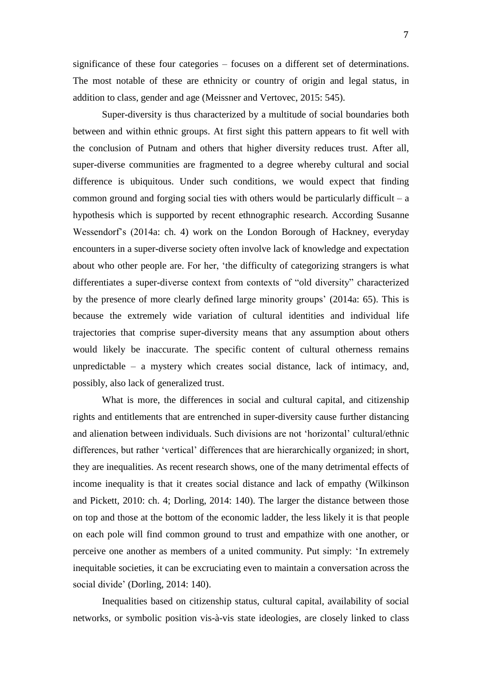significance of these four categories – focuses on a different set of determinations. The most notable of these are ethnicity or country of origin and legal status, in addition to class, gender and age (Meissner and Vertovec, 2015: 545).

Super-diversity is thus characterized by a multitude of social boundaries both between and within ethnic groups. At first sight this pattern appears to fit well with the conclusion of Putnam and others that higher diversity reduces trust. After all, super-diverse communities are fragmented to a degree whereby cultural and social difference is ubiquitous. Under such conditions, we would expect that finding common ground and forging social ties with others would be particularly difficult  $- a$ hypothesis which is supported by recent ethnographic research. According Susanne Wessendorf's (2014a: ch. 4) work on the London Borough of Hackney, everyday encounters in a super-diverse society often involve lack of knowledge and expectation about who other people are. For her, 'the difficulty of categorizing strangers is what differentiates a super-diverse context from contexts of "old diversity" characterized by the presence of more clearly defined large minority groups' (2014a: 65). This is because the extremely wide variation of cultural identities and individual life trajectories that comprise super-diversity means that any assumption about others would likely be inaccurate. The specific content of cultural otherness remains unpredictable – a mystery which creates social distance, lack of intimacy, and, possibly, also lack of generalized trust.

What is more, the differences in social and cultural capital, and citizenship rights and entitlements that are entrenched in super-diversity cause further distancing and alienation between individuals. Such divisions are not 'horizontal' cultural/ethnic differences, but rather 'vertical' differences that are hierarchically organized; in short, they are inequalities. As recent research shows, one of the many detrimental effects of income inequality is that it creates social distance and lack of empathy (Wilkinson and Pickett, 2010: ch. 4; Dorling, 2014: 140). The larger the distance between those on top and those at the bottom of the economic ladder, the less likely it is that people on each pole will find common ground to trust and empathize with one another, or perceive one another as members of a united community. Put simply: 'In extremely inequitable societies, it can be excruciating even to maintain a conversation across the social divide' (Dorling, 2014: 140).

Inequalities based on citizenship status, cultural capital, availability of social networks, or symbolic position vis-à-vis state ideologies, are closely linked to class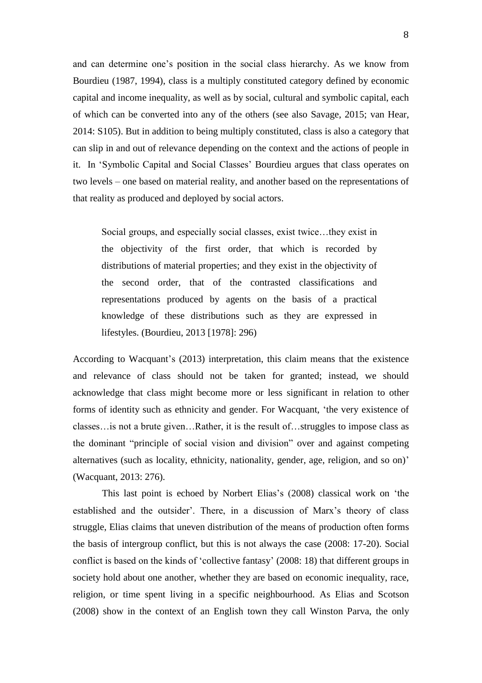and can determine one's position in the social class hierarchy. As we know from Bourdieu (1987, 1994), class is a multiply constituted category defined by economic capital and income inequality, as well as by social, cultural and symbolic capital, each of which can be converted into any of the others (see also Savage, 2015; van Hear, 2014: S105). But in addition to being multiply constituted, class is also a category that can slip in and out of relevance depending on the context and the actions of people in it. In 'Symbolic Capital and Social Classes' Bourdieu argues that class operates on two levels – one based on material reality, and another based on the representations of that reality as produced and deployed by social actors.

Social groups, and especially social classes, exist twice…they exist in the objectivity of the first order, that which is recorded by distributions of material properties; and they exist in the objectivity of the second order, that of the contrasted classifications and representations produced by agents on the basis of a practical knowledge of these distributions such as they are expressed in lifestyles. (Bourdieu, 2013 [1978]: 296)

According to Wacquant's (2013) interpretation, this claim means that the existence and relevance of class should not be taken for granted; instead, we should acknowledge that class might become more or less significant in relation to other forms of identity such as ethnicity and gender. For Wacquant, 'the very existence of classes…is not a brute given…Rather, it is the result of…struggles to impose class as the dominant "principle of social vision and division" over and against competing alternatives (such as locality, ethnicity, nationality, gender, age, religion, and so on)' (Wacquant, 2013: 276).

This last point is echoed by Norbert Elias's (2008) classical work on 'the established and the outsider'. There, in a discussion of Marx's theory of class struggle, Elias claims that uneven distribution of the means of production often forms the basis of intergroup conflict, but this is not always the case (2008: 17-20). Social conflict is based on the kinds of 'collective fantasy' (2008: 18) that different groups in society hold about one another, whether they are based on economic inequality, race, religion, or time spent living in a specific neighbourhood. As Elias and Scotson (2008) show in the context of an English town they call Winston Parva, the only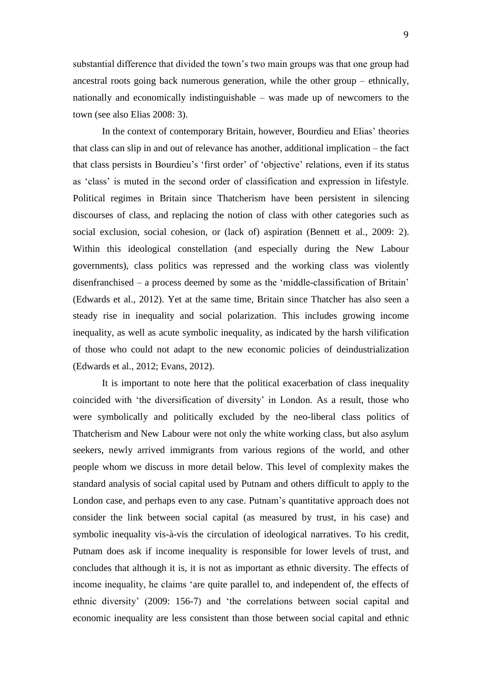9

substantial difference that divided the town's two main groups was that one group had ancestral roots going back numerous generation, while the other group – ethnically, nationally and economically indistinguishable – was made up of newcomers to the town (see also Elias 2008: 3).

In the context of contemporary Britain, however, Bourdieu and Elias' theories that class can slip in and out of relevance has another, additional implication – the fact that class persists in Bourdieu's 'first order' of 'objective' relations, even if its status as 'class' is muted in the second order of classification and expression in lifestyle. Political regimes in Britain since Thatcherism have been persistent in silencing discourses of class, and replacing the notion of class with other categories such as social exclusion, social cohesion, or (lack of) aspiration (Bennett et al., 2009: 2). Within this ideological constellation (and especially during the New Labour governments), class politics was repressed and the working class was violently disenfranchised – a process deemed by some as the 'middle-classification of Britain' (Edwards et al., 2012). Yet at the same time, Britain since Thatcher has also seen a steady rise in inequality and social polarization. This includes growing income inequality, as well as acute symbolic inequality, as indicated by the harsh vilification of those who could not adapt to the new economic policies of deindustrialization (Edwards et al., 2012; Evans, 2012).

It is important to note here that the political exacerbation of class inequality coincided with 'the diversification of diversity' in London. As a result, those who were symbolically and politically excluded by the neo-liberal class politics of Thatcherism and New Labour were not only the white working class, but also asylum seekers, newly arrived immigrants from various regions of the world, and other people whom we discuss in more detail below. This level of complexity makes the standard analysis of social capital used by Putnam and others difficult to apply to the London case, and perhaps even to any case. Putnam's quantitative approach does not consider the link between social capital (as measured by trust, in his case) and symbolic inequality vis-à-vis the circulation of ideological narratives. To his credit, Putnam does ask if income inequality is responsible for lower levels of trust, and concludes that although it is, it is not as important as ethnic diversity. The effects of income inequality, he claims 'are quite parallel to, and independent of, the effects of ethnic diversity' (2009: 156-7) and 'the correlations between social capital and economic inequality are less consistent than those between social capital and ethnic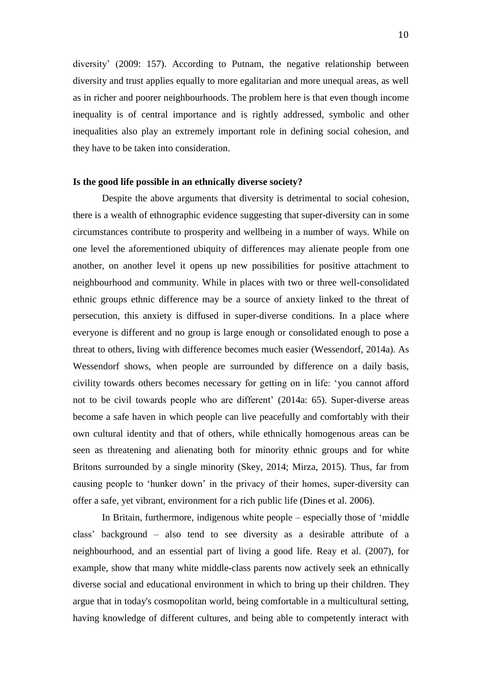diversity' (2009: 157). According to Putnam, the negative relationship between diversity and trust applies equally to more egalitarian and more unequal areas, as well as in richer and poorer neighbourhoods. The problem here is that even though income inequality is of central importance and is rightly addressed, symbolic and other inequalities also play an extremely important role in defining social cohesion, and they have to be taken into consideration.

#### **Is the good life possible in an ethnically diverse society?**

Despite the above arguments that diversity is detrimental to social cohesion, there is a wealth of ethnographic evidence suggesting that super-diversity can in some circumstances contribute to prosperity and wellbeing in a number of ways. While on one level the aforementioned ubiquity of differences may alienate people from one another, on another level it opens up new possibilities for positive attachment to neighbourhood and community. While in places with two or three well-consolidated ethnic groups ethnic difference may be a source of anxiety linked to the threat of persecution, this anxiety is diffused in super-diverse conditions. In a place where everyone is different and no group is large enough or consolidated enough to pose a threat to others, living with difference becomes much easier (Wessendorf, 2014a). As Wessendorf shows, when people are surrounded by difference on a daily basis, civility towards others becomes necessary for getting on in life: 'you cannot afford not to be civil towards people who are different' (2014a: 65). Super-diverse areas become a safe haven in which people can live peacefully and comfortably with their own cultural identity and that of others, while ethnically homogenous areas can be seen as threatening and alienating both for minority ethnic groups and for white Britons surrounded by a single minority (Skey, 2014; Mirza, 2015). Thus, far from causing people to 'hunker down' in the privacy of their homes, super-diversity can offer a safe, yet vibrant, environment for a rich public life (Dines et al. 2006).

In Britain, furthermore, indigenous white people – especially those of 'middle class' background – also tend to see diversity as a desirable attribute of a neighbourhood, and an essential part of living a good life. Reay et al. (2007), for example, show that many white middle-class parents now actively seek an ethnically diverse social and educational environment in which to bring up their children. They argue that in today's cosmopolitan world, being comfortable in a multicultural setting, having knowledge of different cultures, and being able to competently interact with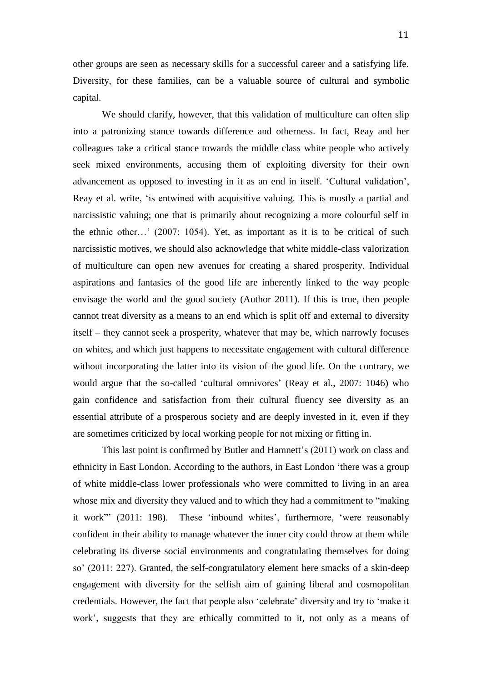other groups are seen as necessary skills for a successful career and a satisfying life. Diversity, for these families, can be a valuable source of cultural and symbolic capital.

We should clarify, however, that this validation of multiculture can often slip into a patronizing stance towards difference and otherness. In fact, Reay and her colleagues take a critical stance towards the middle class white people who actively seek mixed environments, accusing them of exploiting diversity for their own advancement as opposed to investing in it as an end in itself. 'Cultural validation', Reay et al. write, 'is entwined with acquisitive valuing. This is mostly a partial and narcissistic valuing; one that is primarily about recognizing a more colourful self in the ethnic other…' (2007: 1054). Yet, as important as it is to be critical of such narcissistic motives, we should also acknowledge that white middle-class valorization of multiculture can open new avenues for creating a shared prosperity. Individual aspirations and fantasies of the good life are inherently linked to the way people envisage the world and the good society (Author 2011). If this is true, then people cannot treat diversity as a means to an end which is split off and external to diversity itself – they cannot seek a prosperity, whatever that may be, which narrowly focuses on whites, and which just happens to necessitate engagement with cultural difference without incorporating the latter into its vision of the good life. On the contrary, we would argue that the so-called 'cultural omnivores' (Reay et al., 2007: 1046) who gain confidence and satisfaction from their cultural fluency see diversity as an essential attribute of a prosperous society and are deeply invested in it, even if they are sometimes criticized by local working people for not mixing or fitting in.

This last point is confirmed by Butler and Hamnett's (2011) work on class and ethnicity in East London. According to the authors, in East London 'there was a group of white middle-class lower professionals who were committed to living in an area whose mix and diversity they valued and to which they had a commitment to "making" it work"' (2011: 198). These 'inbound whites', furthermore, 'were reasonably confident in their ability to manage whatever the inner city could throw at them while celebrating its diverse social environments and congratulating themselves for doing so' (2011: 227). Granted, the self-congratulatory element here smacks of a skin-deep engagement with diversity for the selfish aim of gaining liberal and cosmopolitan credentials. However, the fact that people also 'celebrate' diversity and try to 'make it work', suggests that they are ethically committed to it, not only as a means of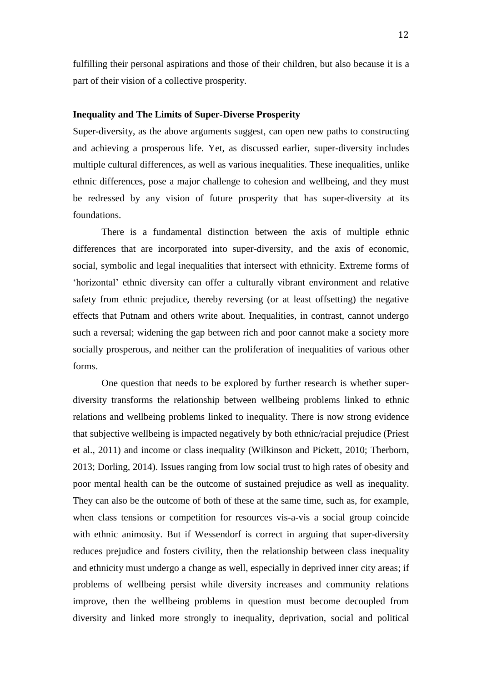fulfilling their personal aspirations and those of their children, but also because it is a part of their vision of a collective prosperity.

### **Inequality and The Limits of Super-Diverse Prosperity**

Super-diversity, as the above arguments suggest, can open new paths to constructing and achieving a prosperous life. Yet, as discussed earlier, super-diversity includes multiple cultural differences, as well as various inequalities. These inequalities, unlike ethnic differences, pose a major challenge to cohesion and wellbeing, and they must be redressed by any vision of future prosperity that has super-diversity at its foundations.

There is a fundamental distinction between the axis of multiple ethnic differences that are incorporated into super-diversity, and the axis of economic, social, symbolic and legal inequalities that intersect with ethnicity. Extreme forms of 'horizontal' ethnic diversity can offer a culturally vibrant environment and relative safety from ethnic prejudice, thereby reversing (or at least offsetting) the negative effects that Putnam and others write about. Inequalities, in contrast, cannot undergo such a reversal; widening the gap between rich and poor cannot make a society more socially prosperous, and neither can the proliferation of inequalities of various other forms.

One question that needs to be explored by further research is whether superdiversity transforms the relationship between wellbeing problems linked to ethnic relations and wellbeing problems linked to inequality. There is now strong evidence that subjective wellbeing is impacted negatively by both ethnic/racial prejudice (Priest et al., 2011) and income or class inequality (Wilkinson and Pickett, 2010; Therborn, 2013; Dorling, 2014). Issues ranging from low social trust to high rates of obesity and poor mental health can be the outcome of sustained prejudice as well as inequality. They can also be the outcome of both of these at the same time, such as, for example, when class tensions or competition for resources vis-a-vis a social group coincide with ethnic animosity. But if Wessendorf is correct in arguing that super-diversity reduces prejudice and fosters civility, then the relationship between class inequality and ethnicity must undergo a change as well, especially in deprived inner city areas; if problems of wellbeing persist while diversity increases and community relations improve, then the wellbeing problems in question must become decoupled from diversity and linked more strongly to inequality, deprivation, social and political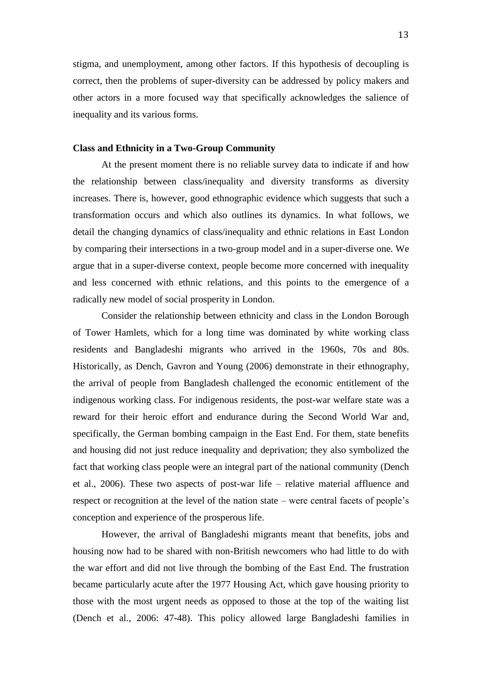stigma, and unemployment, among other factors. If this hypothesis of decoupling is correct, then the problems of super-diversity can be addressed by policy makers and other actors in a more focused way that specifically acknowledges the salience of inequality and its various forms.

### **Class and Ethnicity in a Two-Group Community**

At the present moment there is no reliable survey data to indicate if and how the relationship between class/inequality and diversity transforms as diversity increases. There is, however, good ethnographic evidence which suggests that such a transformation occurs and which also outlines its dynamics. In what follows, we detail the changing dynamics of class/inequality and ethnic relations in East London by comparing their intersections in a two-group model and in a super-diverse one. We argue that in a super-diverse context, people become more concerned with inequality and less concerned with ethnic relations, and this points to the emergence of a radically new model of social prosperity in London.

Consider the relationship between ethnicity and class in the London Borough of Tower Hamlets, which for a long time was dominated by white working class residents and Bangladeshi migrants who arrived in the 1960s, 70s and 80s. Historically, as Dench, Gavron and Young (2006) demonstrate in their ethnography, the arrival of people from Bangladesh challenged the economic entitlement of the indigenous working class. For indigenous residents, the post-war welfare state was a reward for their heroic effort and endurance during the Second World War and, specifically, the German bombing campaign in the East End. For them, state benefits and housing did not just reduce inequality and deprivation; they also symbolized the fact that working class people were an integral part of the national community (Dench et al., 2006). These two aspects of post-war life – relative material affluence and respect or recognition at the level of the nation state – were central facets of people's conception and experience of the prosperous life.

However, the arrival of Bangladeshi migrants meant that benefits, jobs and housing now had to be shared with non-British newcomers who had little to do with the war effort and did not live through the bombing of the East End. The frustration became particularly acute after the 1977 Housing Act, which gave housing priority to those with the most urgent needs as opposed to those at the top of the waiting list (Dench et al., 2006: 47-48). This policy allowed large Bangladeshi families in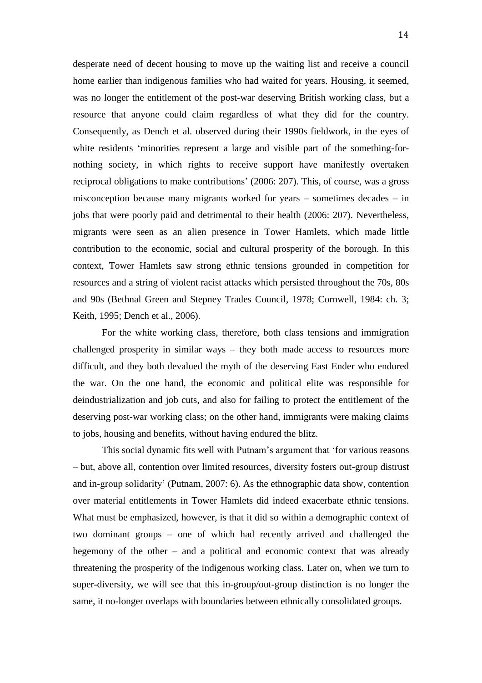desperate need of decent housing to move up the waiting list and receive a council home earlier than indigenous families who had waited for years. Housing, it seemed, was no longer the entitlement of the post-war deserving British working class, but a resource that anyone could claim regardless of what they did for the country. Consequently, as Dench et al. observed during their 1990s fieldwork, in the eyes of white residents 'minorities represent a large and visible part of the something-fornothing society, in which rights to receive support have manifestly overtaken reciprocal obligations to make contributions' (2006: 207). This, of course, was a gross misconception because many migrants worked for years – sometimes decades – in jobs that were poorly paid and detrimental to their health (2006: 207). Nevertheless, migrants were seen as an alien presence in Tower Hamlets, which made little contribution to the economic, social and cultural prosperity of the borough. In this context, Tower Hamlets saw strong ethnic tensions grounded in competition for resources and a string of violent racist attacks which persisted throughout the 70s, 80s and 90s (Bethnal Green and Stepney Trades Council, 1978; Cornwell, 1984: ch. 3; Keith, 1995; Dench et al., 2006).

For the white working class, therefore, both class tensions and immigration challenged prosperity in similar ways – they both made access to resources more difficult, and they both devalued the myth of the deserving East Ender who endured the war. On the one hand, the economic and political elite was responsible for deindustrialization and job cuts, and also for failing to protect the entitlement of the deserving post-war working class; on the other hand, immigrants were making claims to jobs, housing and benefits, without having endured the blitz.

This social dynamic fits well with Putnam's argument that 'for various reasons – but, above all, contention over limited resources, diversity fosters out-group distrust and in-group solidarity' (Putnam, 2007: 6). As the ethnographic data show, contention over material entitlements in Tower Hamlets did indeed exacerbate ethnic tensions. What must be emphasized, however, is that it did so within a demographic context of two dominant groups – one of which had recently arrived and challenged the hegemony of the other – and a political and economic context that was already threatening the prosperity of the indigenous working class. Later on, when we turn to super-diversity, we will see that this in-group/out-group distinction is no longer the same, it no-longer overlaps with boundaries between ethnically consolidated groups.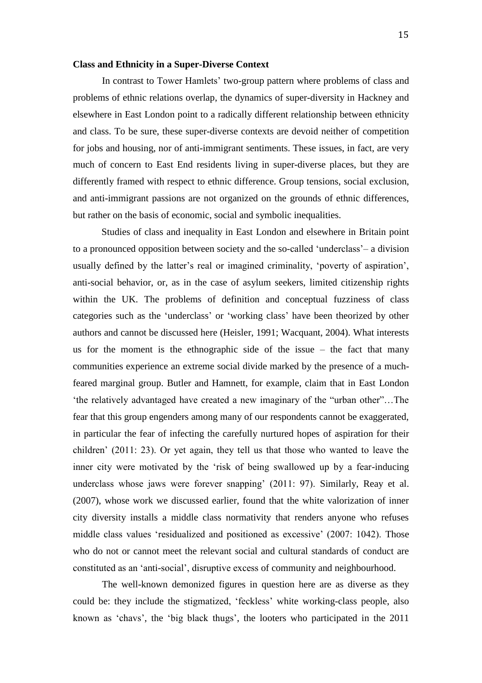#### **Class and Ethnicity in a Super-Diverse Context**

In contrast to Tower Hamlets' two-group pattern where problems of class and problems of ethnic relations overlap, the dynamics of super-diversity in Hackney and elsewhere in East London point to a radically different relationship between ethnicity and class. To be sure, these super-diverse contexts are devoid neither of competition for jobs and housing, nor of anti-immigrant sentiments. These issues, in fact, are very much of concern to East End residents living in super-diverse places, but they are differently framed with respect to ethnic difference. Group tensions, social exclusion, and anti-immigrant passions are not organized on the grounds of ethnic differences, but rather on the basis of economic, social and symbolic inequalities.

Studies of class and inequality in East London and elsewhere in Britain point to a pronounced opposition between society and the so-called 'underclass'– a division usually defined by the latter's real or imagined criminality, 'poverty of aspiration', anti-social behavior, or, as in the case of asylum seekers, limited citizenship rights within the UK. The problems of definition and conceptual fuzziness of class categories such as the 'underclass' or 'working class' have been theorized by other authors and cannot be discussed here (Heisler, 1991; Wacquant, 2004). What interests us for the moment is the ethnographic side of the issue – the fact that many communities experience an extreme social divide marked by the presence of a muchfeared marginal group. Butler and Hamnett, for example, claim that in East London 'the relatively advantaged have created a new imaginary of the "urban other"…The fear that this group engenders among many of our respondents cannot be exaggerated, in particular the fear of infecting the carefully nurtured hopes of aspiration for their children' (2011: 23). Or yet again, they tell us that those who wanted to leave the inner city were motivated by the 'risk of being swallowed up by a fear-inducing underclass whose jaws were forever snapping' (2011: 97). Similarly, Reay et al. (2007), whose work we discussed earlier, found that the white valorization of inner city diversity installs a middle class normativity that renders anyone who refuses middle class values 'residualized and positioned as excessive' (2007: 1042). Those who do not or cannot meet the relevant social and cultural standards of conduct are constituted as an 'anti-social', disruptive excess of community and neighbourhood.

The well-known demonized figures in question here are as diverse as they could be: they include the stigmatized, 'feckless' white working-class people, also known as 'chavs', the 'big black thugs', the looters who participated in the 2011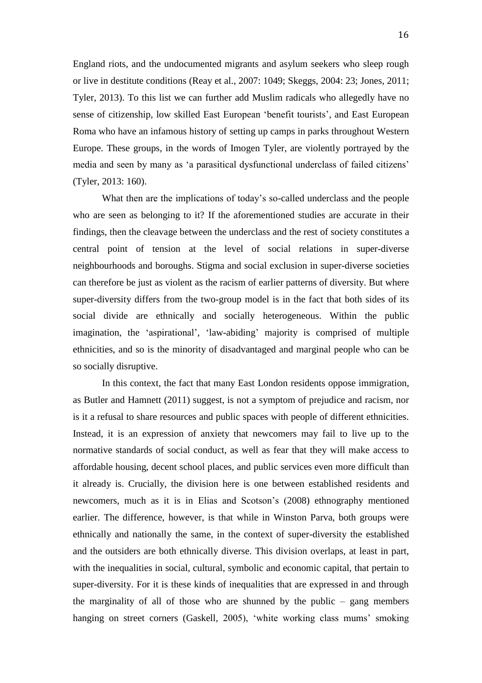England riots, and the undocumented migrants and asylum seekers who sleep rough or live in destitute conditions (Reay et al., 2007: 1049; Skeggs, 2004: 23; Jones, 2011; Tyler, 2013). To this list we can further add Muslim radicals who allegedly have no sense of citizenship, low skilled East European 'benefit tourists', and East European Roma who have an infamous history of setting up camps in parks throughout Western Europe. These groups, in the words of Imogen Tyler, are violently portrayed by the media and seen by many as 'a parasitical dysfunctional underclass of failed citizens' (Tyler, 2013: 160).

What then are the implications of today's so-called underclass and the people who are seen as belonging to it? If the aforementioned studies are accurate in their findings, then the cleavage between the underclass and the rest of society constitutes a central point of tension at the level of social relations in super-diverse neighbourhoods and boroughs. Stigma and social exclusion in super-diverse societies can therefore be just as violent as the racism of earlier patterns of diversity. But where super-diversity differs from the two-group model is in the fact that both sides of its social divide are ethnically and socially heterogeneous. Within the public imagination, the 'aspirational', 'law-abiding' majority is comprised of multiple ethnicities, and so is the minority of disadvantaged and marginal people who can be so socially disruptive.

In this context, the fact that many East London residents oppose immigration, as Butler and Hamnett (2011) suggest, is not a symptom of prejudice and racism, nor is it a refusal to share resources and public spaces with people of different ethnicities. Instead, it is an expression of anxiety that newcomers may fail to live up to the normative standards of social conduct, as well as fear that they will make access to affordable housing, decent school places, and public services even more difficult than it already is. Crucially, the division here is one between established residents and newcomers, much as it is in Elias and Scotson's (2008) ethnography mentioned earlier. The difference, however, is that while in Winston Parva, both groups were ethnically and nationally the same, in the context of super-diversity the established and the outsiders are both ethnically diverse. This division overlaps, at least in part, with the inequalities in social, cultural, symbolic and economic capital, that pertain to super-diversity. For it is these kinds of inequalities that are expressed in and through the marginality of all of those who are shunned by the public – gang members hanging on street corners (Gaskell, 2005), 'white working class mums' smoking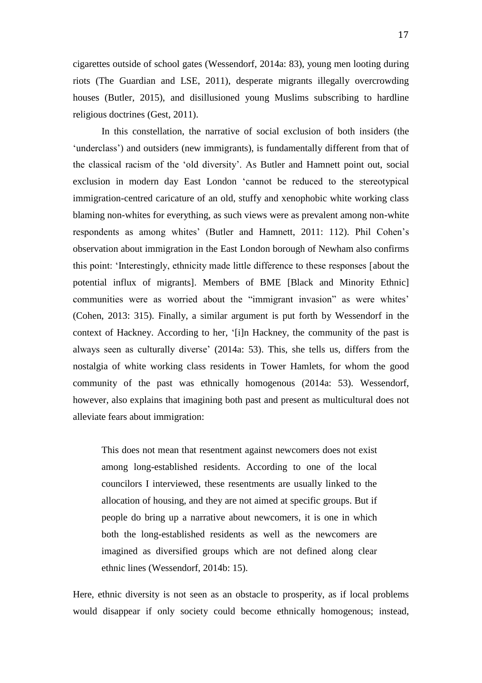cigarettes outside of school gates (Wessendorf, 2014a: 83), young men looting during riots (The Guardian and LSE, 2011), desperate migrants illegally overcrowding houses (Butler, 2015), and disillusioned young Muslims subscribing to hardline religious doctrines (Gest, 2011).

In this constellation, the narrative of social exclusion of both insiders (the 'underclass') and outsiders (new immigrants), is fundamentally different from that of the classical racism of the 'old diversity'. As Butler and Hamnett point out, social exclusion in modern day East London 'cannot be reduced to the stereotypical immigration-centred caricature of an old, stuffy and xenophobic white working class blaming non-whites for everything, as such views were as prevalent among non-white respondents as among whites' (Butler and Hamnett, 2011: 112). Phil Cohen's observation about immigration in the East London borough of Newham also confirms this point: 'Interestingly, ethnicity made little difference to these responses [about the potential influx of migrants]. Members of BME [Black and Minority Ethnic] communities were as worried about the "immigrant invasion" as were whites' (Cohen, 2013: 315). Finally, a similar argument is put forth by Wessendorf in the context of Hackney. According to her, '[i]n Hackney, the community of the past is always seen as culturally diverse' (2014a: 53). This, she tells us, differs from the nostalgia of white working class residents in Tower Hamlets, for whom the good community of the past was ethnically homogenous (2014a: 53). Wessendorf, however, also explains that imagining both past and present as multicultural does not alleviate fears about immigration:

This does not mean that resentment against newcomers does not exist among long-established residents. According to one of the local councilors I interviewed, these resentments are usually linked to the allocation of housing, and they are not aimed at specific groups. But if people do bring up a narrative about newcomers, it is one in which both the long-established residents as well as the newcomers are imagined as diversified groups which are not defined along clear ethnic lines (Wessendorf, 2014b: 15).

Here, ethnic diversity is not seen as an obstacle to prosperity, as if local problems would disappear if only society could become ethnically homogenous; instead,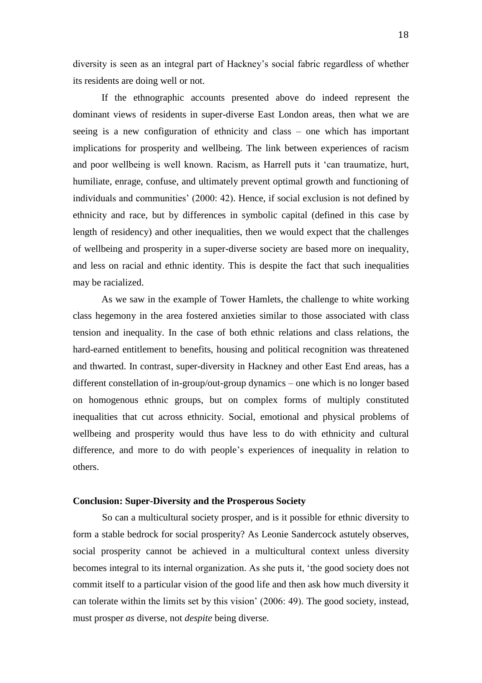diversity is seen as an integral part of Hackney's social fabric regardless of whether its residents are doing well or not.

If the ethnographic accounts presented above do indeed represent the dominant views of residents in super-diverse East London areas, then what we are seeing is a new configuration of ethnicity and class – one which has important implications for prosperity and wellbeing. The link between experiences of racism and poor wellbeing is well known. Racism, as Harrell puts it 'can traumatize, hurt, humiliate, enrage, confuse, and ultimately prevent optimal growth and functioning of individuals and communities' (2000: 42). Hence, if social exclusion is not defined by ethnicity and race, but by differences in symbolic capital (defined in this case by length of residency) and other inequalities, then we would expect that the challenges of wellbeing and prosperity in a super-diverse society are based more on inequality, and less on racial and ethnic identity. This is despite the fact that such inequalities may be racialized.

As we saw in the example of Tower Hamlets, the challenge to white working class hegemony in the area fostered anxieties similar to those associated with class tension and inequality. In the case of both ethnic relations and class relations, the hard-earned entitlement to benefits, housing and political recognition was threatened and thwarted. In contrast, super-diversity in Hackney and other East End areas, has a different constellation of in-group/out-group dynamics – one which is no longer based on homogenous ethnic groups, but on complex forms of multiply constituted inequalities that cut across ethnicity. Social, emotional and physical problems of wellbeing and prosperity would thus have less to do with ethnicity and cultural difference, and more to do with people's experiences of inequality in relation to others.

## **Conclusion: Super-Diversity and the Prosperous Society**

So can a multicultural society prosper, and is it possible for ethnic diversity to form a stable bedrock for social prosperity? As Leonie Sandercock astutely observes, social prosperity cannot be achieved in a multicultural context unless diversity becomes integral to its internal organization. As she puts it, 'the good society does not commit itself to a particular vision of the good life and then ask how much diversity it can tolerate within the limits set by this vision' (2006: 49). The good society, instead, must prosper *as* diverse, not *despite* being diverse.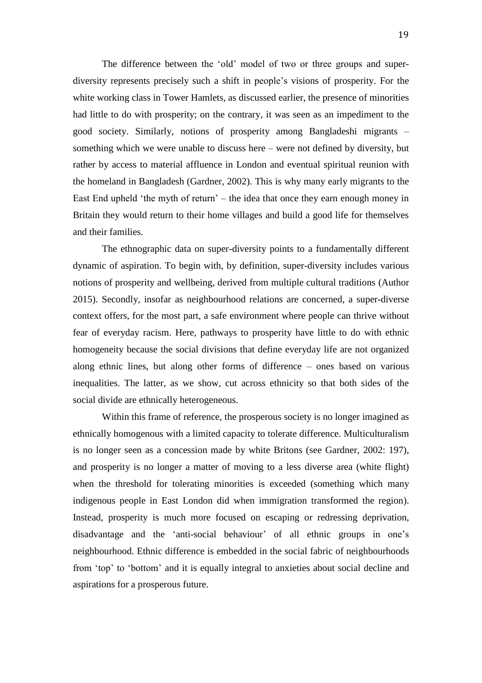The difference between the 'old' model of two or three groups and superdiversity represents precisely such a shift in people's visions of prosperity. For the white working class in Tower Hamlets, as discussed earlier, the presence of minorities had little to do with prosperity; on the contrary, it was seen as an impediment to the good society. Similarly, notions of prosperity among Bangladeshi migrants – something which we were unable to discuss here – were not defined by diversity, but rather by access to material affluence in London and eventual spiritual reunion with the homeland in Bangladesh (Gardner, 2002). This is why many early migrants to the East End upheld 'the myth of return' – the idea that once they earn enough money in Britain they would return to their home villages and build a good life for themselves and their families.

The ethnographic data on super-diversity points to a fundamentally different dynamic of aspiration. To begin with, by definition, super-diversity includes various notions of prosperity and wellbeing, derived from multiple cultural traditions (Author 2015). Secondly, insofar as neighbourhood relations are concerned, a super-diverse context offers, for the most part, a safe environment where people can thrive without fear of everyday racism. Here, pathways to prosperity have little to do with ethnic homogeneity because the social divisions that define everyday life are not organized along ethnic lines, but along other forms of difference – ones based on various inequalities. The latter, as we show, cut across ethnicity so that both sides of the social divide are ethnically heterogeneous.

Within this frame of reference, the prosperous society is no longer imagined as ethnically homogenous with a limited capacity to tolerate difference. Multiculturalism is no longer seen as a concession made by white Britons (see Gardner, 2002: 197), and prosperity is no longer a matter of moving to a less diverse area (white flight) when the threshold for tolerating minorities is exceeded (something which many indigenous people in East London did when immigration transformed the region). Instead, prosperity is much more focused on escaping or redressing deprivation, disadvantage and the 'anti-social behaviour' of all ethnic groups in one's neighbourhood. Ethnic difference is embedded in the social fabric of neighbourhoods from 'top' to 'bottom' and it is equally integral to anxieties about social decline and aspirations for a prosperous future.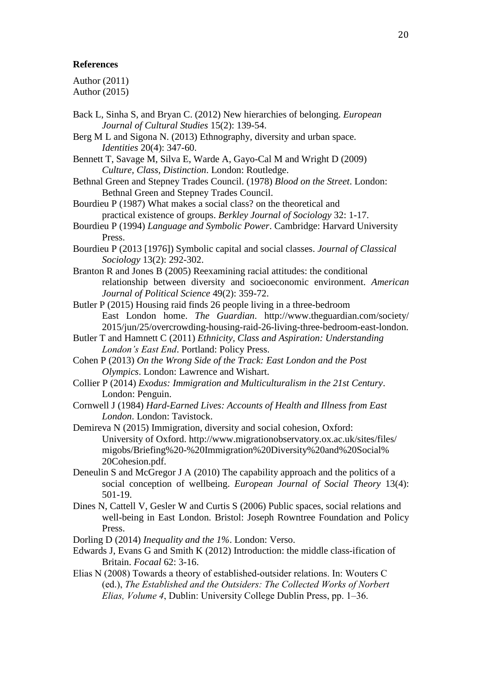## **References**

Author (2011) Author (2015)

- Back L, Sinha S, and Bryan C. (2012) New hierarchies of belonging. *European Journal of Cultural Studies* 15(2): 139-54.
- Berg M L and Sigona N. (2013) Ethnography, diversity and urban space. *Identities* 20(4): 347-60.
- Bennett T, Savage M, Silva E, Warde A, Gayo-Cal M and Wright D (2009) *Culture, Class, Distinction*. London: Routledge.
- Bethnal Green and Stepney Trades Council. (1978) *Blood on the Street*. London: Bethnal Green and Stepney Trades Council.

Bourdieu P (1987) What makes a social class? on the theoretical and practical existence of groups. *Berkley Journal of Sociology* 32: 1-17.

- Bourdieu P (1994) *Language and Symbolic Power*. Cambridge: Harvard University Press.
- Bourdieu P (2013 [1976]) Symbolic capital and social classes. *Journal of Classical Sociology* 13(2): 292-302.
- Branton R and Jones B (2005) Reexamining racial attitudes: the conditional relationship between diversity and socioeconomic environment. *American Journal of Political Science* 49(2): 359-72.
- Butler P (2015) Housing raid finds 26 people living in a three-bedroom East London home. *The Guardian*. http://www.theguardian.com/society/ 2015/jun/25/overcrowding-housing-raid-26-living-three-bedroom-east-london.
- Butler T and Hamnett C (2011) *Ethnicity, Class and Aspiration: Understanding London's East End*. Portland: Policy Press.
- Cohen P (2013) *On the Wrong Side of the Track: East London and the Post Olympics*. London: Lawrence and Wishart.
- Collier P (2014) *Exodus: Immigration and Multiculturalism in the 21st Century*. London: Penguin.
- Cornwell J (1984) *Hard-Earned Lives: Accounts of Health and Illness from East London*. London: Tavistock.
- Demireva N (2015) Immigration, diversity and social cohesion, Oxford: University of Oxford. http://www.migrationobservatory.ox.ac.uk/sites/files/ migobs/Briefing%20-%20Immigration%20Diversity%20and%20Social% 20Cohesion.pdf.
- Deneulin S and McGregor J A (2010) The capability approach and the politics of a social conception of wellbeing. *European Journal of Social Theory* 13(4): 501-19.
- Dines N, Cattell V, Gesler W and Curtis S (2006) Public spaces, social relations and well-being in East London. Bristol: Joseph Rowntree Foundation and Policy Press.
- Dorling D (2014) *Inequality and the 1%*. London: Verso.
- Edwards J, Evans G and Smith K (2012) Introduction: the middle class-ification of Britain. *Focaal* 62: 3-16.
- Elias N (2008) Towards a theory of established-outsider relations. In: Wouters C (ed.), *The Established and the Outsiders: The Collected Works of Norbert Elias, Volume 4*, Dublin: University College Dublin Press, pp. 1–36.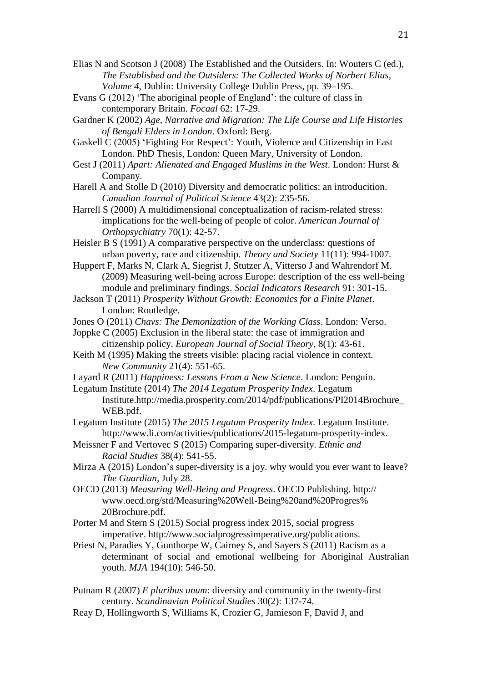Elias N and Scotson J (2008) The Established and the Outsiders. In: Wouters C (ed.), *The Established and the Outsiders: The Collected Works of Norbert Elias, Volume 4*, Dublin: University College Dublin Press, pp. 39–195.

Evans G (2012) 'The aboriginal people of England': the culture of class in contemporary Britain. *Focaal* 62: 17-29.

Gardner K (2002) *Age, Narrative and Migration: The Life Course and Life Histories of Bengali Elders in London*. Oxford: Berg.

- Gaskell C (2005) 'Fighting For Respect': Youth, Violence and Citizenship in East London. PhD Thesis, London: Queen Mary, University of London.
- Gest J (2011) *Apart: Alienated and Engaged Muslims in the West*. London: Hurst & Company.
- Harell A and Stolle D (2010) Diversity and democratic politics: an introducition. *Canadian Journal of Political Science* 43(2): 235-56.
- Harrell S (2000) A multidimensional conceptualization of racism-related stress: implications for the well-being of people of color. *American Journal of Orthopsychiatry* 70(1): 42-57.

Heisler B S (1991) A comparative perspective on the underclass: questions of urban poverty, race and citizenship. *Theory and Society* 11(11): 994-1007.

Huppert F, Marks N, Clark A, Siegrist J, Stutzer A, Vitterso J and Wahrendorf M. (2009) Measuring well-being across Europe: description of the ess well-being module and preliminary findings. *Social Indicators Research* 91: 301-15.

Jackson T (2011) *Prosperity Without Growth: Economics for a Finite Planet*. London: Routledge.

Jones O (2011) *Chavs: The Demonization of the Working Class*. London: Verso.

Joppke C (2005) Exclusion in the liberal state: the case of immigration and citizenship policy. *European Journal of Social Theory*, 8(1): 43-61.

- Keith M (1995) Making the streets visible: placing racial violence in context. *New Community* 21(4): 551-65.
- Layard R (2011) *Happiness: Lessons From a New Science*. London: Penguin.
- Legatum Institute (2014) *The 2014 Legatum Prosperity Index*. Legatum Institute.http://media.prosperity.com/2014/pdf/publications/PI2014Brochure\_ WEB.pdf.
- Legatum Institute (2015) *The 2015 Legatum Prosperity Index*. Legatum Institute. http://www.li.com/activities/publications/2015-legatum-prosperity-index.
- Meissner F and Vertovec S (2015) Comparing super-diversity. *Ethnic and Racial Studies* 38(4): 541-55.
- Mirza A (2015) London's super-diversity is a joy. why would you ever want to leave? *The Guardian*, July 28.
- OECD (2013) *Measuring Well-Being and Progress*. OECD Publishing. http:// www.oecd.org/std/Measuring%20Well-Being%20and%20Progres% 20Brochure.pdf.
- Porter M and Stern S (2015) Social progress index 2015, social progress imperative. http://www.socialprogressimperative.org/publications.
- Priest N, Paradies Y, Gunthorpe W, Cairney S, and Sayers S (2011) Racism as a determinant of social and emotional wellbeing for Aboriginal Australian youth. *MJA* 194(10): 546-50.
- Putnam R (2007) *E pluribus unum*: diversity and community in the twenty-first century. *Scandinavian Political Studies* 30(2): 137-74.
- Reay D, Hollingworth S, Williams K, Crozier G, Jamieson F, David J, and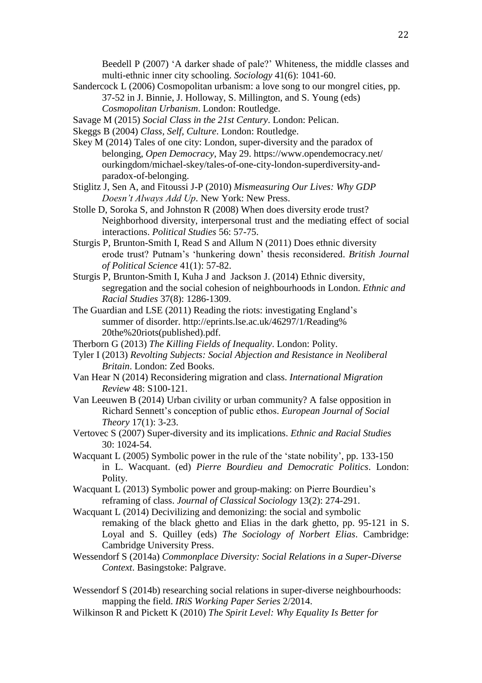Beedell P (2007) 'A darker shade of pale?' Whiteness, the middle classes and multi-ethnic inner city schooling. *Sociology* 41(6): 1041-60.

- Sandercock L (2006) Cosmopolitan urbanism: a love song to our mongrel cities, pp. 37-52 in J. Binnie, J. Holloway, S. Millington, and S. Young (eds) *Cosmopolitan Urbanism*. London: Routledge.
- Savage M (2015) *Social Class in the 21st Century*. London: Pelican.
- Skeggs B (2004) *Class, Self, Culture*. London: Routledge.
- Skey M (2014) Tales of one city: London, super-diversity and the paradox of belonging, *Open Democracy*, May 29. https://www.opendemocracy.net/ ourkingdom/michael-skey/tales-of-one-city-london-superdiversity-andparadox-of-belonging.
- Stiglitz J, Sen A, and Fitoussi J-P (2010) *Mismeasuring Our Lives: Why GDP Doesn't Always Add Up*. New York: New Press.
- Stolle D, Soroka S, and Johnston R (2008) When does diversity erode trust? Neighborhood diversity, interpersonal trust and the mediating effect of social interactions. *Political Studies* 56: 57-75.
- Sturgis P, Brunton-Smith I, Read S and Allum N (2011) Does ethnic diversity erode trust? Putnam's 'hunkering down' thesis reconsidered. *British Journal of Political Science* 41(1): 57-82.
- Sturgis P, Brunton-Smith I, Kuha J and Jackson J. (2014) Ethnic diversity, segregation and the social cohesion of neighbourhoods in London. *Ethnic and Racial Studies* 37(8): 1286-1309.
- The Guardian and LSE (2011) Reading the riots: investigating England's summer of disorder. http://eprints.lse.ac.uk/46297/1/Reading% 20the%20riots(published).pdf.
- Therborn G (2013) *The Killing Fields of Inequality*. London: Polity.
- Tyler I (2013) *Revolting Subjects: Social Abjection and Resistance in Neoliberal Britain*. London: Zed Books.
- Van Hear N (2014) Reconsidering migration and class. *International Migration Review* 48: S100-121.
- Van Leeuwen B (2014) Urban civility or urban community? A false opposition in Richard Sennett's conception of public ethos. *European Journal of Social Theory* 17(1): 3-23.
- Vertovec S (2007) Super-diversity and its implications. *Ethnic and Racial Studies* 30: 1024-54.
- Wacquant L (2005) Symbolic power in the rule of the 'state nobility', pp. 133-150 in L. Wacquant. (ed) *Pierre Bourdieu and Democratic Politics*. London: Polity.
- Wacquant L (2013) Symbolic power and group-making: on Pierre Bourdieu's reframing of class. *Journal of Classical Sociology* 13(2): 274-291.
- Wacquant L (2014) Decivilizing and demonizing: the social and symbolic remaking of the black ghetto and Elias in the dark ghetto, pp. 95-121 in S. Loyal and S. Quilley (eds) *The Sociology of Norbert Elias*. Cambridge: Cambridge University Press.
- Wessendorf S (2014a) *Commonplace Diversity: Social Relations in a Super-Diverse Context*. Basingstoke: Palgrave.
- Wessendorf S (2014b) researching social relations in super-diverse neighbourhoods: mapping the field. *IRiS Working Paper Series* 2/2014.
- Wilkinson R and Pickett K (2010) *The Spirit Level: Why Equality Is Better for*